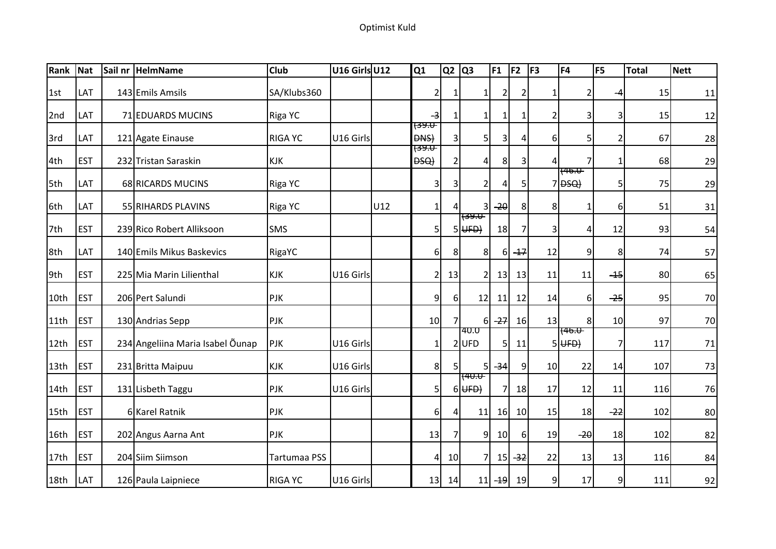## Optimist Kuld

| Rank             | Nat         | Sail nr HelmName                 | <b>Club</b>    | U16 Girls U12 |     | Q1                                  | Q2             | Q3                               | F <sub>1</sub>  | F <sub>2</sub> | F <sub>3</sub>  | F <sub>4</sub>                       | F <sub>5</sub> | <b>Total</b> | <b>Nett</b> |
|------------------|-------------|----------------------------------|----------------|---------------|-----|-------------------------------------|----------------|----------------------------------|-----------------|----------------|-----------------|--------------------------------------|----------------|--------------|-------------|
| l 1st            | LAT         | 143 Emils Amsils                 | SA/Klubs360    |               |     | $\mathbf{2}$                        |                | $\mathbf{1}$                     | $\overline{2}$  | 2              | 1 <sup>1</sup>  | 2                                    | -4             | 15           | 11          |
| 2nd              | LAT         | 71 EDUARDS MUCINS                | Riga YC        |               |     | -3                                  |                | -1                               | 11              | 1              | $\overline{2}$  | 3                                    | 3              | 15           | 12          |
| 3rd              | LAT         | 121 Agate Einause                | <b>RIGA YC</b> | U16 Girls     |     | <del>(ਤ9.0</del><br><b>DNS</b>      | 3              | 5                                | 3               | 4              | 6 <sup>1</sup>  | 5                                    | $\overline{2}$ | 67           | 28          |
| 4th              | <b>EST</b>  | 232 Tristan Saraskin             | <b>KJK</b>     |               |     | <del>(39.U</del><br><del>DSQ)</del> | $\overline{2}$ | 4                                | 8               | $\overline{3}$ |                 | 7                                    | $\mathbf{1}$   | 68           | 29          |
| 5th              | LAT         | 68 RICARDS MUCINS                | Riga YC        |               |     | 3                                   | $\overline{3}$ | $\overline{2}$                   | 4               | 5 <sub>l</sub> |                 | <del>746.U</del><br>7 <del>DSQ</del> | 5              | 75           | 29          |
| 6th              | LAT         | 55 RIHARDS PLAVINS               | Riga YC        |               | U12 | $1\vert$                            | 4              | 3                                | $-20$           | 8 <sup>1</sup> | 8               | 1                                    | 6              | 51           | 31          |
| 7th              | <b>EST</b>  | 239 Rico Robert Alliksoon        | <b>SMS</b>     |               |     | 51                                  |                | 1 <del>(39.0-</del><br>$5 $ UFD) | 18              | $\overline{7}$ | $\overline{3}$  | 4                                    | 12             | 93           | 54          |
| 8th              | LAT         | 140 Emils Mikus Baskevics        | RigaYC         |               |     | 6                                   | 8              | 8 <sup>l</sup>                   | 61              | $+7$           | 12              | $\overline{9}$                       | 8              | 74           | 57          |
| 9th              | <b>EST</b>  | 225 Mia Marin Lilienthal         | <b>KJK</b>     | U16 Girls     |     | 2                                   | 13             | 2                                | 13              | 13             | 11              | 11                                   | $-15$          | 80           | 65          |
| 10th             | <b>EST</b>  | 206 Pert Salundi                 | PJK            |               |     | 9                                   | $6 \mid$       | 12                               | 11              | 12             | 14              | $6 \overline{6}$                     | $-25$          | 95           | 70          |
| 11th             | <b>EST</b>  | 130 Andrias Sepp                 | PJK            |               |     | 10 <sup>1</sup>                     |                | 6I                               | $-27$           | 16             | 13              | 8 <sup>1</sup>                       | 10             | 97           | 70          |
| 12th             | <b>EST</b>  | 234 Angeliina Maria Isabel Õunap | <b>PJK</b>     | U16 Girls     |     | $\mathbf{1}$                        |                | 40.U<br>$2$ UFD                  | 5 <sup>1</sup>  | 11             |                 | <del>146.U</del><br>$5 $ UFD $ $     | $\overline{7}$ | 117          | $71\,$      |
| 13th             | <b>EST</b>  | 231 Britta Maipuu                | <b>KJK</b>     | U16 Girls     |     | 8                                   | 5 <sup>1</sup> | 5                                | $-34$           | 9              | 10 <sub>l</sub> | 22                                   | 14             | 107          | 73          |
| 14th             | <b>EST</b>  | 131 Lisbeth Taggu                | PJK            | U16 Girls     |     | 5                                   |                | <del>740.0 </del><br>$6$ UFD $)$ | 71              | 18             | 17              | 12                                   | 11             | 116          | 76          |
| 15th             | <b>EST</b>  | 6 Karel Ratnik                   | <b>PJK</b>     |               |     | 6                                   | $\overline{4}$ | 11                               | <b>16</b>       | 10             | 15              | 18                                   | $-22$          | 102          | 80          |
| 16th             | <b>EST</b>  | 202 Angus Aarna Ant              | <b>PJK</b>     |               |     | 13                                  | $\overline{7}$ | 9 <sub>l</sub>                   | 10 <sup>1</sup> | 6              | 19              | $-20$                                | 18             | 102          | 82          |
| 17 <sub>th</sub> | <b>IEST</b> | 204 Siim Siimson                 | Tartumaa PSS   |               |     | 4                                   | 10             | 7                                |                 | $15 - 32$      | 22              | 13                                   | 13             | 116          | 84          |
| 18th             | <b>LAT</b>  | 126 Paula Laipniece              | <b>RIGA YC</b> | U16 Girls     |     | 13                                  | 14             | 11                               | $-19$           | 19             | 9               | 17                                   | $\overline{9}$ | 111          | 92          |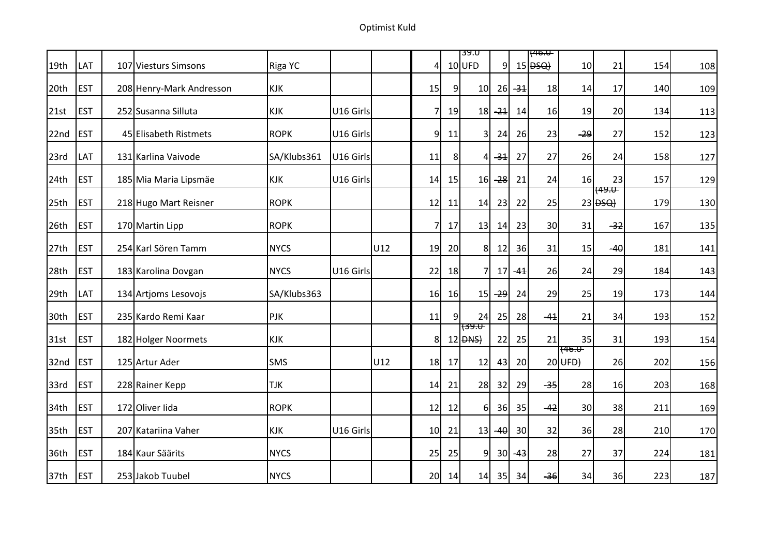Optimist Kuld

|                  |            |                          |             |           |     |                 |                | 39.U                                  |                |           | <del>(46.U</del>      |                               |                                             |     |     |
|------------------|------------|--------------------------|-------------|-----------|-----|-----------------|----------------|---------------------------------------|----------------|-----------|-----------------------|-------------------------------|---------------------------------------------|-----|-----|
| 19th             | LAT        | 107 Viesturs Simsons     | Riga YC     |           |     | $\overline{4}$  |                | $10$ UFD                              | 9 <sup>1</sup> |           | $15$ $\overline{BSQ}$ | 10                            | 21                                          | 154 | 108 |
| 20th             | <b>EST</b> | 208 Henry-Mark Andresson | <b>KJK</b>  |           |     | 15              | 9              | 10                                    | <b>26</b>      | $-31$     | 18                    | 14                            | 17                                          | 140 | 109 |
| 21st             | <b>EST</b> | 252 Susanna Silluta      | <b>KJK</b>  | U16 Girls |     | 7               | 19             | 18                                    | $-24$          | 14        | 16                    | 19                            | 20                                          | 134 | 113 |
| 22nd             | <b>EST</b> | 45 Elisabeth Ristmets    | <b>ROPK</b> | U16 Girls |     | 9               | 11             | 3                                     | 24             | 26        | 23                    | $-29$                         | 27                                          | 152 | 123 |
| 23rd             | LAT        | 131 Karlina Vaivode      | SA/Klubs361 | U16 Girls |     | 11              | 8 <sup>1</sup> | 4                                     | $-34$          | 27        | 27                    | 26                            | 24                                          | 158 | 127 |
| 24th             | <b>EST</b> | 185 Mia Maria Lipsmäe    | KJK         | U16 Girls |     | 14              | 15             | 16                                    | $-28$          | 21        | 24                    | 16                            | 23                                          | 157 | 129 |
| 25th             | <b>EST</b> | 218 Hugo Mart Reisner    | <b>ROPK</b> |           |     | 12              | 11             | 14                                    | 23             | 22        | 25                    |                               | <del>(49.U  </del><br>$23$ $\overline{BSQ}$ | 179 | 130 |
| 26th             | <b>EST</b> | 170 Martin Lipp          | <b>ROPK</b> |           |     | 7               | 17             | 13                                    | 14             | 23        | 30                    | 31                            | $-32$                                       | 167 | 135 |
| 27 <sub>th</sub> | <b>EST</b> | 254 Karl Sören Tamm      | <b>NYCS</b> |           | U12 | 19              | 20             | 8 <sup>1</sup>                        | 12             | 36        | 31                    | 15                            | $-40$                                       | 181 | 141 |
| 28th             | <b>EST</b> | 183 Karolina Dovgan      | <b>NYCS</b> | U16 Girls |     | 22              | 18             | $\overline{7}$                        | 17             | $-41$     | 26                    | 24                            | 29                                          | 184 | 143 |
| 29th             | LAT        | 134 Artjoms Lesovojs     | SA/Klubs363 |           |     | 16              | 16             | 15                                    | -29            | 24        | 29                    | 25                            | 19                                          | 173 | 144 |
| 30th             | <b>EST</b> | 235 Kardo Remi Kaar      | PJK         |           |     | 11              | $\overline{9}$ | 24                                    | 25             | 28        | $-41$                 | 21                            | 34                                          | 193 | 152 |
| 31st             | <b>EST</b> | 182 Holger Noormets      | KJK         |           |     | 8 <sup>1</sup>  |                | 'ਦਿਲਾ<br>$12$ $\overline{\text{PNS}}$ | 22             | 25        | 21                    | 35                            | 31                                          | 193 | 154 |
| 32nd             | <b>EST</b> | 125 Artur Ader           | SMS         |           | U12 | 18              | 17             | 12                                    | 43             | 20        |                       | <del>{46.U</del><br>$20$ UFD) | 26                                          | 202 | 156 |
| 33rd             | <b>EST</b> | 228 Rainer Kepp          | <b>TJK</b>  |           |     | 14              | 21             | 28                                    | 32             | 29        | $-35$                 | 28                            | 16                                          | 203 | 168 |
| 34th             | <b>EST</b> | 172 Oliver Iida          | <b>ROPK</b> |           |     | 12              | 12             | 6                                     | 36             | 35        | $-42$                 | 30                            | 38                                          | 211 | 169 |
| 35th             | <b>EST</b> | 207 Katariina Vaher      | KJK         | U16 Girls |     | 10              | 21             | 13                                    | $-40$          | 30        | 32                    | 36                            | 28                                          | 210 | 170 |
| 36th             | <b>EST</b> | 184 Kaur Säärits         | <b>NYCS</b> |           |     | 25              | 25             | 91                                    |                | $30 - 43$ | 28                    | 27                            | 37                                          | 224 | 181 |
| 37th             | <b>EST</b> | 253 Jakob Tuubel         | <b>NYCS</b> |           |     | 20 <sub>l</sub> | 14             | 14                                    | 35             | 34        | $-36$                 | 34                            | 36                                          | 223 | 187 |